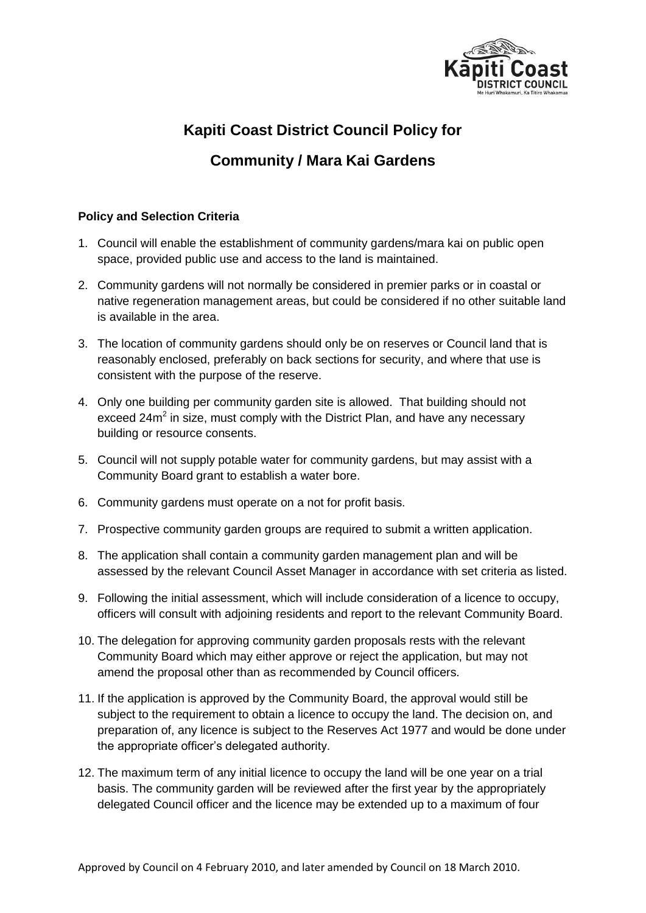

## **Kapiti Coast District Council Policy for**

## **Community / Mara Kai Gardens**

## **Policy and Selection Criteria**

- 1. Council will enable the establishment of community gardens/mara kai on public open space, provided public use and access to the land is maintained.
- 2. Community gardens will not normally be considered in premier parks or in coastal or native regeneration management areas, but could be considered if no other suitable land is available in the area.
- 3. The location of community gardens should only be on reserves or Council land that is reasonably enclosed, preferably on back sections for security, and where that use is consistent with the purpose of the reserve.
- 4. Only one building per community garden site is allowed. That building should not exceed  $24m^2$  in size, must comply with the District Plan, and have any necessary building or resource consents.
- 5. Council will not supply potable water for community gardens, but may assist with a Community Board grant to establish a water bore.
- 6. Community gardens must operate on a not for profit basis.
- 7. Prospective community garden groups are required to submit a written application.
- 8. The application shall contain a community garden management plan and will be assessed by the relevant Council Asset Manager in accordance with set criteria as listed.
- 9. Following the initial assessment, which will include consideration of a licence to occupy, officers will consult with adjoining residents and report to the relevant Community Board.
- 10. The delegation for approving community garden proposals rests with the relevant Community Board which may either approve or reject the application, but may not amend the proposal other than as recommended by Council officers.
- 11. If the application is approved by the Community Board, the approval would still be subject to the requirement to obtain a licence to occupy the land. The decision on, and preparation of, any licence is subject to the Reserves Act 1977 and would be done under the appropriate officer's delegated authority.
- 12. The maximum term of any initial licence to occupy the land will be one year on a trial basis. The community garden will be reviewed after the first year by the appropriately delegated Council officer and the licence may be extended up to a maximum of four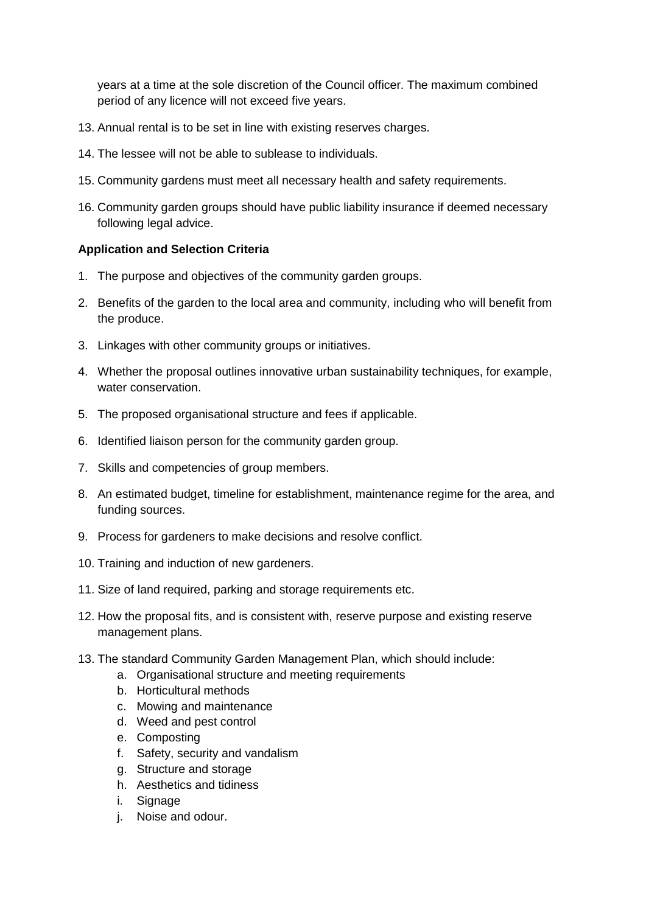years at a time at the sole discretion of the Council officer. The maximum combined period of any licence will not exceed five years.

- 13. Annual rental is to be set in line with existing reserves charges.
- 14. The lessee will not be able to sublease to individuals.
- 15. Community gardens must meet all necessary health and safety requirements.
- 16. Community garden groups should have public liability insurance if deemed necessary following legal advice.

## **Application and Selection Criteria**

- 1. The purpose and objectives of the community garden groups.
- 2. Benefits of the garden to the local area and community, including who will benefit from the produce.
- 3. Linkages with other community groups or initiatives.
- 4. Whether the proposal outlines innovative urban sustainability techniques, for example, water conservation.
- 5. The proposed organisational structure and fees if applicable.
- 6. Identified liaison person for the community garden group.
- 7. Skills and competencies of group members.
- 8. An estimated budget, timeline for establishment, maintenance regime for the area, and funding sources.
- 9. Process for gardeners to make decisions and resolve conflict.
- 10. Training and induction of new gardeners.
- 11. Size of land required, parking and storage requirements etc.
- 12. How the proposal fits, and is consistent with, reserve purpose and existing reserve management plans.
- 13. The standard Community Garden Management Plan, which should include:
	- a. Organisational structure and meeting requirements
	- b. Horticultural methods
	- c. Mowing and maintenance
	- d. Weed and pest control
	- e. Composting
	- f. Safety, security and vandalism
	- g. Structure and storage
	- h. Aesthetics and tidiness
	- i. Signage
	- j. Noise and odour.